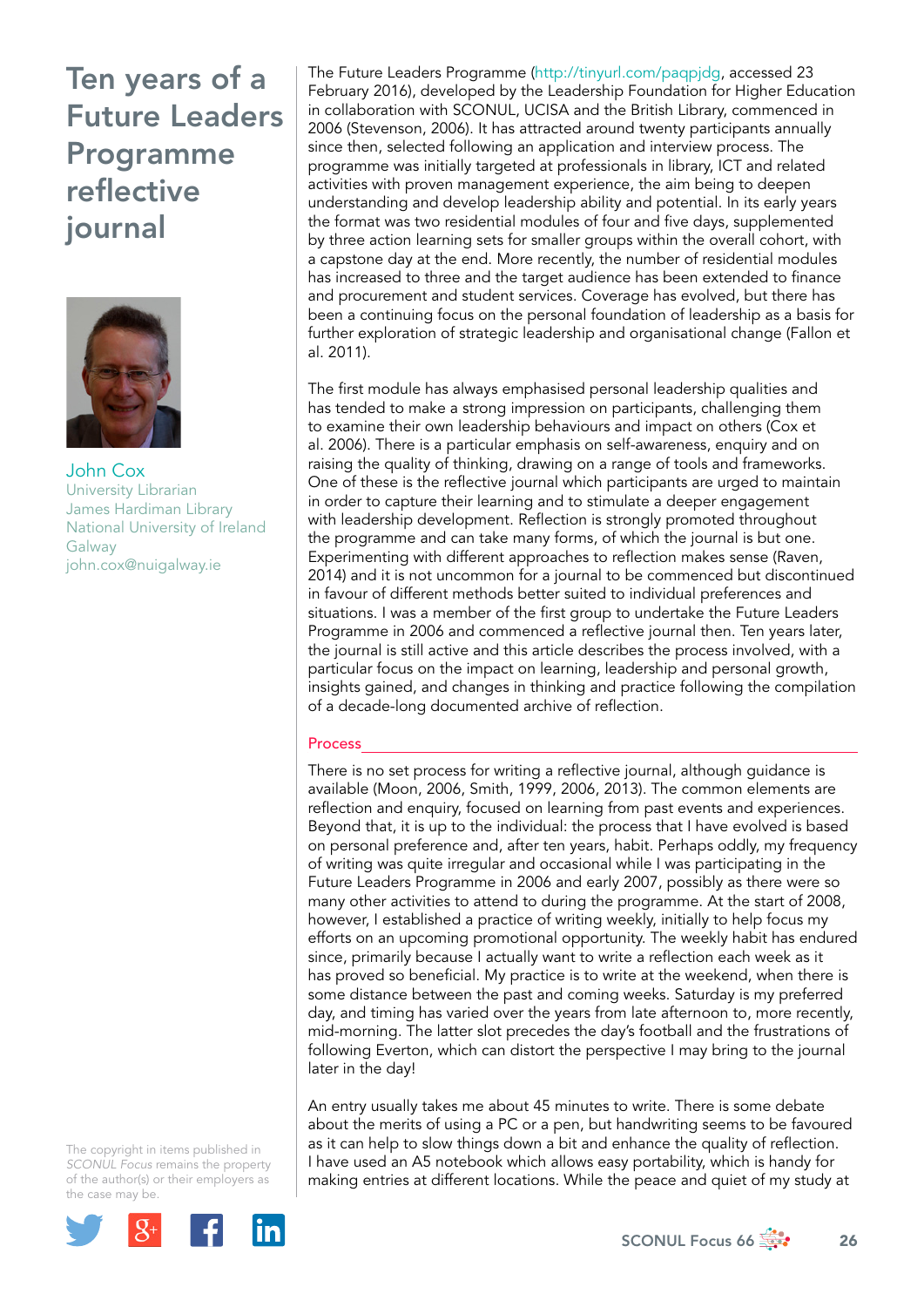

John Cox University Librarian James Hardiman Library National University of Ireland Galway [john.cox@nuigalway.ie](mailto:john.cox@nuigalway.ie) 

The copyright in items published in *SCONUL Focus* remains the property of the author(s) or their employers as the case may be.



The Future Leaders Programme (<http://tinyurl.com/paqpjdg>, accessed 23 February 2016), developed by the Leadership Foundation for Higher Education in collaboration with SCONUL, UCISA and the British Library, commenced in 2006 (Stevenson, 2006). It has attracted around twenty participants annually since then, selected following an application and interview process. The programme was initially targeted at professionals in library, ICT and related activities with proven management experience, the aim being to deepen understanding and develop leadership ability and potential. In its early years the format was two residential modules of four and five days, supplemented by three action learning sets for smaller groups within the overall cohort, with a capstone day at the end. More recently, the number of residential modules has increased to three and the target audience has been extended to finance and procurement and student services. Coverage has evolved, but there has been a continuing focus on the personal foundation of leadership as a basis for further exploration of strategic leadership and organisational change (Fallon et al. 2011).

The first module has always emphasised personal leadership qualities and has tended to make a strong impression on participants, challenging them to examine their own leadership behaviours and impact on others (Cox et al. 2006). There is a particular emphasis on self-awareness, enquiry and on raising the quality of thinking, drawing on a range of tools and frameworks. One of these is the reflective journal which participants are urged to maintain in order to capture their learning and to stimulate a deeper engagement with leadership development. Reflection is strongly promoted throughout the programme and can take many forms, of which the journal is but one. Experimenting with different approaches to reflection makes sense (Raven, 2014) and it is not uncommon for a journal to be commenced but discontinued in favour of different methods better suited to individual preferences and situations. I was a member of the first group to undertake the Future Leaders Programme in 2006 and commenced a reflective journal then. Ten years later, the journal is still active and this article describes the process involved, with a particular focus on the impact on learning, leadership and personal growth, insights gained, and changes in thinking and practice following the compilation of a decade-long documented archive of reflection.

## Process

There is no set process for writing a reflective journal, although guidance is available (Moon, 2006, Smith, 1999, 2006, 2013). The common elements are reflection and enquiry, focused on learning from past events and experiences. Beyond that, it is up to the individual: the process that I have evolved is based on personal preference and, after ten years, habit. Perhaps oddly, my frequency of writing was quite irregular and occasional while I was participating in the Future Leaders Programme in 2006 and early 2007, possibly as there were so many other activities to attend to during the programme. At the start of 2008, however, I established a practice of writing weekly, initially to help focus my efforts on an upcoming promotional opportunity. The weekly habit has endured since, primarily because I actually want to write a reflection each week as it has proved so beneficial. My practice is to write at the weekend, when there is some distance between the past and coming weeks. Saturday is my preferred day, and timing has varied over the years from late afternoon to, more recently, mid-morning. The latter slot precedes the day's football and the frustrations of following Everton, which can distort the perspective I may bring to the journal later in the day!

An entry usually takes me about 45 minutes to write. There is some debate about the merits of using a PC or a pen, but handwriting seems to be favoured as it can help to slow things down a bit and enhance the quality of reflection. I have used an A5 notebook which allows easy portability, which is handy for making entries at different locations. While the peace and quiet of my study at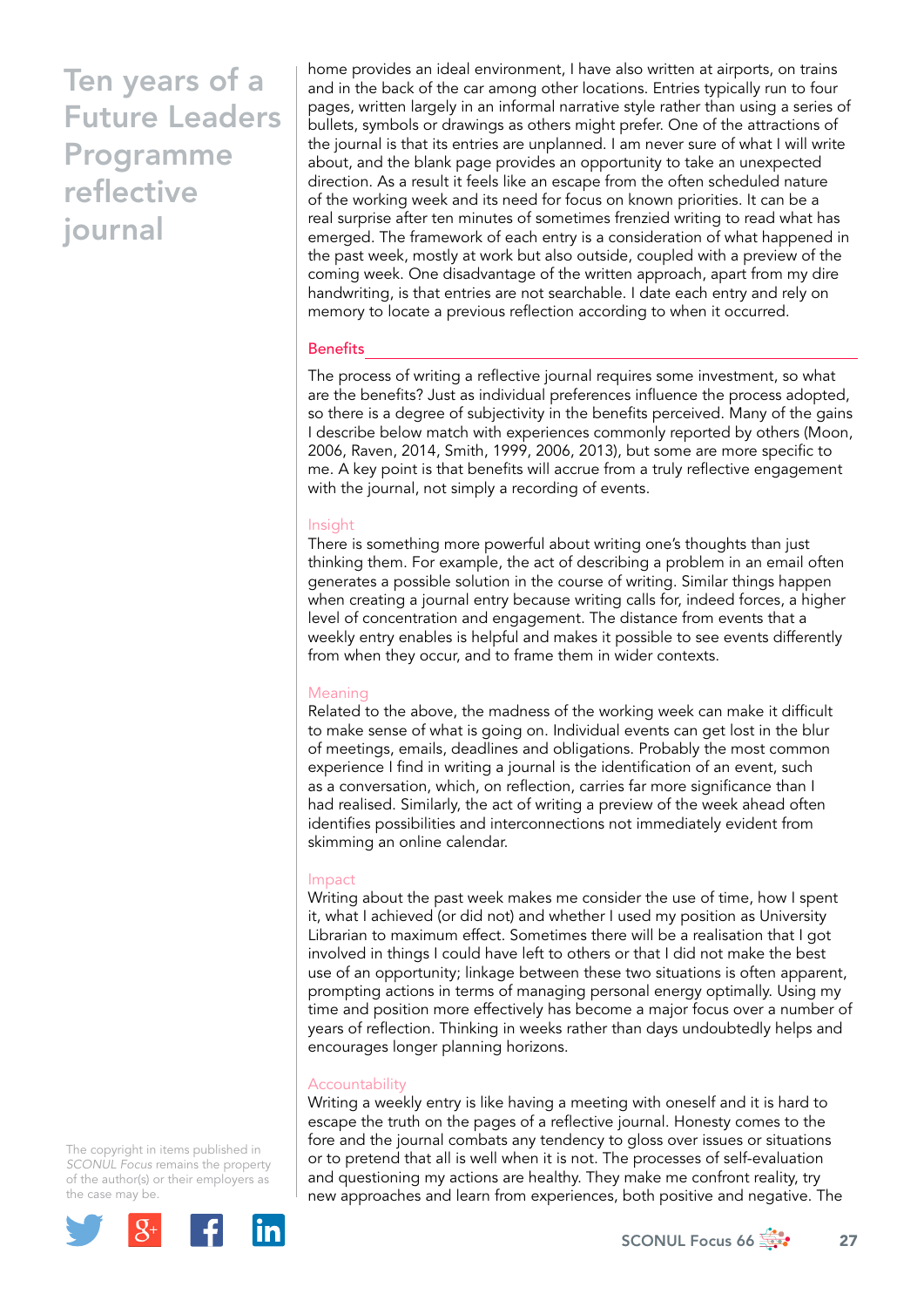home provides an ideal environment, I have also written at airports, on trains and in the back of the car among other locations. Entries typically run to four pages, written largely in an informal narrative style rather than using a series of bullets, symbols or drawings as others might prefer. One of the attractions of the journal is that its entries are unplanned. I am never sure of what I will write about, and the blank page provides an opportunity to take an unexpected direction. As a result it feels like an escape from the often scheduled nature of the working week and its need for focus on known priorities. It can be a real surprise after ten minutes of sometimes frenzied writing to read what has emerged. The framework of each entry is a consideration of what happened in the past week, mostly at work but also outside, coupled with a preview of the coming week. One disadvantage of the written approach, apart from my dire handwriting, is that entries are not searchable. I date each entry and rely on memory to locate a previous reflection according to when it occurred.

## **Benefits**

The process of writing a reflective journal requires some investment, so what are the benefits? Just as individual preferences influence the process adopted, so there is a degree of subjectivity in the benefits perceived. Many of the gains I describe below match with experiences commonly reported by others (Moon, 2006, Raven, 2014, Smith, 1999, 2006, 2013), but some are more specific to me. A key point is that benefits will accrue from a truly reflective engagement with the journal, not simply a recording of events.

### Insight

There is something more powerful about writing one's thoughts than just thinking them. For example, the act of describing a problem in an email often generates a possible solution in the course of writing. Similar things happen when creating a journal entry because writing calls for, indeed forces, a higher level of concentration and engagement. The distance from events that a weekly entry enables is helpful and makes it possible to see events differently from when they occur, and to frame them in wider contexts.

#### Meaning

Related to the above, the madness of the working week can make it difficult to make sense of what is going on. Individual events can get lost in the blur of meetings, emails, deadlines and obligations. Probably the most common experience I find in writing a journal is the identification of an event, such as a conversation, which, on reflection, carries far more significance than I had realised. Similarly, the act of writing a preview of the week ahead often identifies possibilities and interconnections not immediately evident from skimming an online calendar.

#### Impact

Writing about the past week makes me consider the use of time, how I spent it, what I achieved (or did not) and whether I used my position as University Librarian to maximum effect. Sometimes there will be a realisation that I got involved in things I could have left to others or that I did not make the best use of an opportunity; linkage between these two situations is often apparent, prompting actions in terms of managing personal energy optimally. Using my time and position more effectively has become a major focus over a number of years of reflection. Thinking in weeks rather than days undoubtedly helps and encourages longer planning horizons.

### **Accountability**

Writing a weekly entry is like having a meeting with oneself and it is hard to escape the truth on the pages of a reflective journal. Honesty comes to the fore and the journal combats any tendency to gloss over issues or situations or to pretend that all is well when it is not. The processes of self-evaluation and questioning my actions are healthy. They make me confront reality, try new approaches and learn from experiences, both positive and negative. The

The copyright in items published in *SCONUL Focus* remains the property of the author(s) or their employers as the case may be.

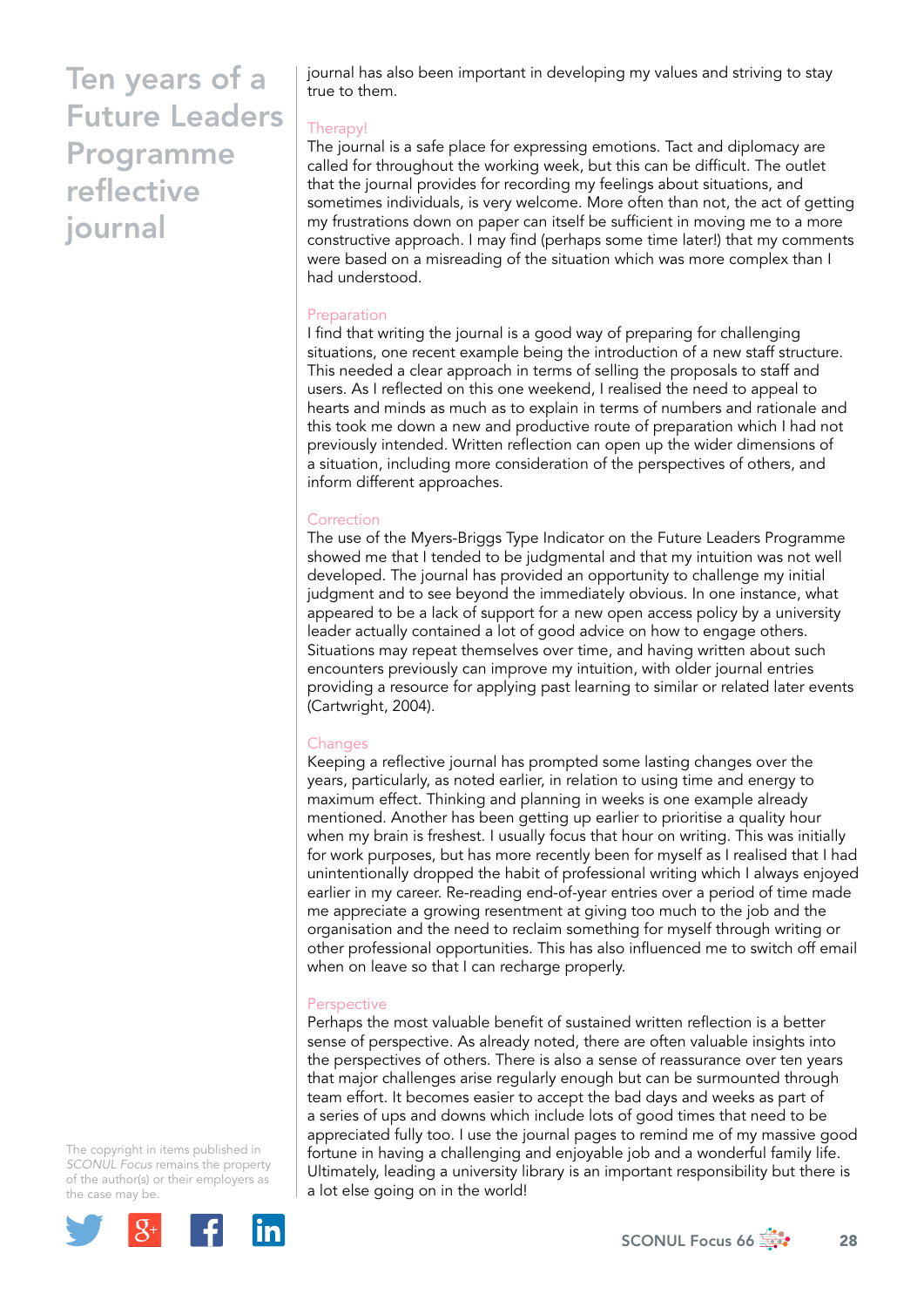journal has also been important in developing my values and striving to stay true to them.

# Therapy!

The journal is a safe place for expressing emotions. Tact and diplomacy are called for throughout the working week, but this can be difficult. The outlet that the journal provides for recording my feelings about situations, and sometimes individuals, is very welcome. More often than not, the act of getting my frustrations down on paper can itself be sufficient in moving me to a more constructive approach. I may find (perhaps some time later!) that my comments were based on a misreading of the situation which was more complex than I had understood.

# Preparation

I find that writing the journal is a good way of preparing for challenging situations, one recent example being the introduction of a new staff structure. This needed a clear approach in terms of selling the proposals to staff and users. As I reflected on this one weekend, I realised the need to appeal to hearts and minds as much as to explain in terms of numbers and rationale and this took me down a new and productive route of preparation which I had not previously intended. Written reflection can open up the wider dimensions of a situation, including more consideration of the perspectives of others, and inform different approaches.

# **Correction**

The use of the Myers-Briggs Type Indicator on the Future Leaders Programme showed me that I tended to be judgmental and that my intuition was not well developed. The journal has provided an opportunity to challenge my initial judgment and to see beyond the immediately obvious. In one instance, what appeared to be a lack of support for a new open access policy by a university leader actually contained a lot of good advice on how to engage others. Situations may repeat themselves over time, and having written about such encounters previously can improve my intuition, with older journal entries providing a resource for applying past learning to similar or related later events (Cartwright, 2004).

## **Changes**

Keeping a reflective journal has prompted some lasting changes over the years, particularly, as noted earlier, in relation to using time and energy to maximum effect. Thinking and planning in weeks is one example already mentioned. Another has been getting up earlier to prioritise a quality hour when my brain is freshest. I usually focus that hour on writing. This was initially for work purposes, but has more recently been for myself as I realised that I had unintentionally dropped the habit of professional writing which I always enjoyed earlier in my career. Re-reading end-of-year entries over a period of time made me appreciate a growing resentment at giving too much to the job and the organisation and the need to reclaim something for myself through writing or other professional opportunities. This has also influenced me to switch off email when on leave so that I can recharge properly.

## **Perspective**

Perhaps the most valuable benefit of sustained written reflection is a better sense of perspective. As already noted, there are often valuable insights into the perspectives of others. There is also a sense of reassurance over ten years that major challenges arise regularly enough but can be surmounted through team effort. It becomes easier to accept the bad days and weeks as part of a series of ups and downs which include lots of good times that need to be appreciated fully too. I use the journal pages to remind me of my massive good fortune in having a challenging and enjoyable job and a wonderful family life. Ultimately, leading a university library is an important responsibility but there is a lot else going on in the world!

The copyright in items published in *SCONUL Focus* remains the property of the author(s) or their employers as the case may be.